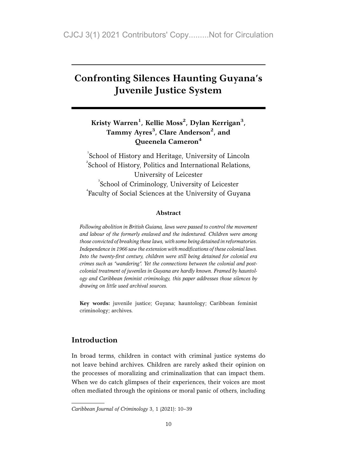# Confronting Silences Haunting Guyana's Juvenile Justice System

# Kristy Warren<sup>1</sup>, Kellie Moss<sup>2</sup>, Dylan Kerrigan<sup>3</sup>, Tammy Ayres<sup>3</sup>, Clare Anderson<sup>2</sup>, and Queenela Cameron<sup>4</sup>

<sup>1</sup>School of History and Heritage, University of Lincoln  $2^2$ School of History, Politics and International Relations, University of Leicester <sup>3</sup>School of Criminology, University of Leicester 4 Faculty of Social Sciences at the University of Guyana

#### Abstract

Following abolition in British Guiana, laws were passed to control the movement and labour of the formerly enslaved and the indentured. Children were among those convicted of breaking these laws, with some being detained in reformatories. Independence in 1966 saw the extension with modifications of these colonial laws. Into the twenty-first century, children were still being detained for colonial era crimes such as "wandering". Yet the connections between the colonial and postcolonial treatment of juveniles in Guyana are hardly known. Framed by hauntology and Caribbean feminist criminology, this paper addresses those silences by drawing on little used archival sources.

Key words: juvenile justice; Guyana; hauntology; Caribbean feminist criminology; archives.

### Introduction

In broad terms, children in contact with criminal justice systems do not leave behind archives. Children are rarely asked their opinion on the processes of moralizing and criminalization that can impact them. When we do catch glimpses of their experiences, their voices are most often mediated through the opinions or moral panic of others, including

Caribbean Journal of Criminology 3, 1 (2021): 10–39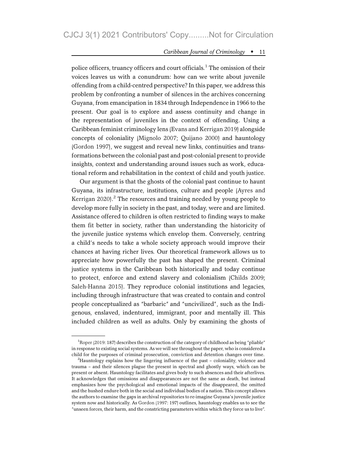police officers, truancy officers and court officials.<sup>1</sup> The omission of their voices leaves us with a conundrum: how can we write about juvenile offending from a child-centred perspective? In this paper, we address this problem by confronting a number of silences in the archives concerning Guyana, from emancipation in 1834 through Independence in 1966 to the present. Our goal is to explore and assess continuity and change in the representation of juveniles in the context of offending. Using a Caribbean feminist criminology lens (Evans and Kerrigan 2019) alongside concepts of coloniality (Mignolo 2007; Quijano 2000) and hauntology (Gordon 1997), we suggest and reveal new links, continuities and transformations between the colonial past and post-colonial present to provide insights, context and understanding around issues such as work, educational reform and rehabilitation in the context of child and youth justice.

Our argument is that the ghosts of the colonial past continue to haunt Guyana, its infrastructure, institutions, culture and people (Ayres and Kerrigan 2020). $^2$  The resources and training needed by young people to develop more fully in society in the past, and today, were and are limited. Assistance offered to children is often restricted to finding ways to make them fit better in society, rather than understanding the historicity of the juvenile justice systems which envelop them. Conversely, centring a child's needs to take a whole society approach would improve their chances at having richer lives. Our theoretical framework allows us to appreciate how powerfully the past has shaped the present. Criminal justice systems in the Caribbean both historically and today continue to protect, enforce and extend slavery and colonialism (Childs 2009; Saleh-Hanna 2015). They reproduce colonial institutions and legacies, including through infrastructure that was created to contain and control people conceptualized as "barbaric" and "uncivilized", such as the Indigenous, enslaved, indentured, immigrant, poor and mentally ill. This included children as well as adults. Only by examining the ghosts of

<sup>&</sup>lt;sup>1</sup>Roper (2019: 187) describes the construction of the category of childhood as being "pliable" in response to existing social systems. As we will see throughout the paper, who is considered a child for the purposes of criminal prosecution, conviction and detention changes over time.

<sup>&</sup>lt;sup>2</sup>Hauntology explains how the lingering influence of the past - coloniality, violence and trauma – and their silences plague the present in spectral and ghostly ways, which can be present or absent. Hauntology facilitates and gives body to such absences and their afterlives. It acknowledges that omissions and disappearances are not the same as death, but instead emphasizes how the psychological and emotional impacts of the disappeared, the omitted and the hushed endure both in the social and individual bodies of a nation. This concept allows the authors to examine the gaps in archival repositories to re-imagine Guyana's juvenile justice system now and historically. As Gordon (1997: 197) outlines, hauntology enables us to see the "unseen forces, their harm, and the constricting parameters within which they force us to live".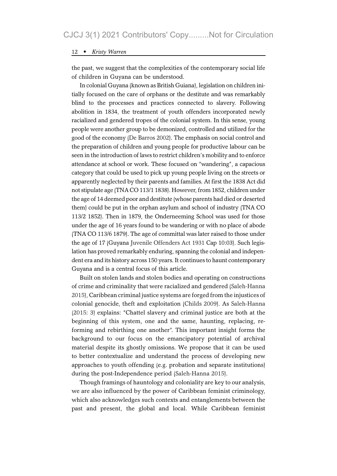the past, we suggest that the complexities of the contemporary social life of children in Guyana can be understood.

In colonial Guyana (known as British Guiana), legislation on children initially focused on the care of orphans or the destitute and was remarkably blind to the processes and practices connected to slavery. Following abolition in 1834, the treatment of youth offenders incorporated newly racialized and gendered tropes of the colonial system. In this sense, young people were another group to be demonized, controlled and utilized for the good of the economy (De Barros 2002). The emphasis on social control and the preparation of children and young people for productive labour can be seen in the introduction of laws to restrict children's mobility and to enforce attendance at school or work. These focused on "wandering", a capacious category that could be used to pick up young people living on the streets or apparently neglected by their parents and families. At first the 1838 Act did not stipulate age (TNA CO 113/1 1838). However, from 1852, children under the age of 14 deemed poor and destitute (whose parents had died or deserted them) could be put in the orphan asylum and school of industry (TNA CO 113/2 1852). Then in 1879, the Onderneeming School was used for those under the age of 16 years found to be wandering or with no place of abode (TNA CO 113/6 1879). The age of committal was later raised to those under the age of 17 (Guyana Juvenile Offenders Act 1931 Cap 10:03). Such legislation has proved remarkably enduring, spanning the colonial and independent era and its history across 150 years. It continues to haunt contemporary Guyana and is a central focus of this article.

Built on stolen lands and stolen bodies and operating on constructions of crime and criminality that were racialized and gendered (Saleh-Hanna 2015), Caribbean criminal justice systems are forged from the injustices of colonial genocide, theft and exploitation (Childs 2009). As Saleh-Hanna (2015: 3) explains: "Chattel slavery and criminal justice are both at the beginning of this system, one and the same, haunting, replacing, reforming and rebirthing one another". This important insight forms the background to our focus on the emancipatory potential of archival material despite its ghostly omissions. We propose that it can be used to better contextualize and understand the process of developing new approaches to youth offending (e.g. probation and separate institutions) during the post-Independence period (Saleh-Hanna 2015).

Though framings of hauntology and coloniality are key to our analysis, we are also influenced by the power of Caribbean feminist criminology, which also acknowledges such contexts and entanglements between the past and present, the global and local. While Caribbean feminist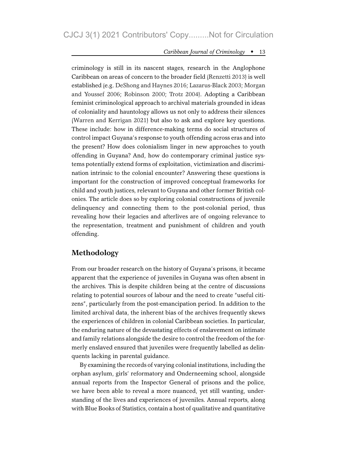criminology is still in its nascent stages, research in the Anglophone Caribbean on areas of concern to the broader field (Renzetti 2013) is well established (e.g. DeShong and Haynes 2016; Lazarus-Black 2003; Morgan and Youssef 2006; Robinson 2000; Trotz 2004). Adopting a Caribbean feminist criminological approach to archival materials grounded in ideas of coloniality and hauntology allows us not only to address their silences (Warren and Kerrigan 2021) but also to ask and explore key questions. These include: how in difference-making terms do social structures of control impact Guyana's response to youth offending across eras and into the present? How does colonialism linger in new approaches to youth offending in Guyana? And, how do contemporary criminal justice systems potentially extend forms of exploitation, victimization and discrimination intrinsic to the colonial encounter? Answering these questions is important for the construction of improved conceptual frameworks for child and youth justices, relevant to Guyana and other former British colonies. The article does so by exploring colonial constructions of juvenile delinquency and connecting them to the post-colonial period, thus revealing how their legacies and afterlives are of ongoing relevance to the representation, treatment and punishment of children and youth offending.

### Methodology

From our broader research on the history of Guyana's prisons, it became apparent that the experience of juveniles in Guyana was often absent in the archives. This is despite children being at the centre of discussions relating to potential sources of labour and the need to create "useful citizens", particularly from the post-emancipation period. In addition to the limited archival data, the inherent bias of the archives frequently skews the experiences of children in colonial Caribbean societies. In particular, the enduring nature of the devastating effects of enslavement on intimate and family relations alongside the desire to control the freedom of the formerly enslaved ensured that juveniles were frequently labelled as delinquents lacking in parental guidance.

By examining the records of varying colonial institutions, including the orphan asylum, girls' reformatory and Onderneeming school, alongside annual reports from the Inspector General of prisons and the police, we have been able to reveal a more nuanced, yet still wanting, understanding of the lives and experiences of juveniles. Annual reports, along with Blue Books of Statistics, contain a host of qualitative and quantitative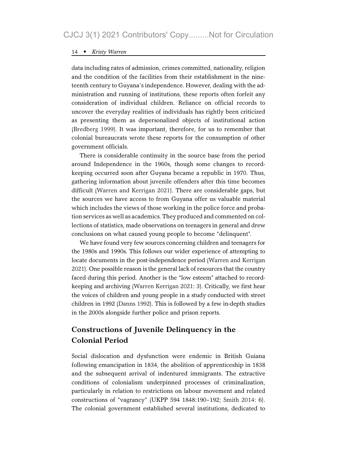data including rates of admission, crimes committed, nationality, religion and the condition of the facilities from their establishment in the nineteenth century to Guyana's independence. However, dealing with the administration and running of institutions, these reports often forfeit any consideration of individual children. Reliance on official records to uncover the everyday realities of individuals has rightly been criticized as presenting them as depersonalized objects of institutional action (Bredberg 1999). It was important, therefore, for us to remember that colonial bureaucrats wrote these reports for the consumption of other government officials.

There is considerable continuity in the source base from the period around Independence in the 1960s, though some changes to recordkeeping occurred soon after Guyana became a republic in 1970. Thus, gathering information about juvenile offenders after this time becomes difficult (Warren and Kerrigan 2021). There are considerable gaps, but the sources we have access to from Guyana offer us valuable material which includes the views of those working in the police force and probation services as well as academics. They produced and commented on collections of statistics, made observations on teenagers in general and drew conclusions on what caused young people to become "delinquent".

We have found very few sources concerning children and teenagers for the 1980s and 1990s. This follows our wider experience of attempting to locate documents in the post-independence period (Warren and Kerrigan 2021). One possible reason is the general lack of resources that the country faced during this period. Another is the "low esteem" attached to recordkeeping and archiving (Warren Kerrigan 2021: 3). Critically, we first hear the voices of children and young people in a study conducted with street children in 1992 (Danns 1992). This is followed by a few in-depth studies in the 2000s alongside further police and prison reports.

# Constructions of Juvenile Delinquency in the Colonial Period

Social dislocation and dysfunction were endemic in British Guiana following emancipation in 1834, the abolition of apprenticeship in 1838 and the subsequent arrival of indentured immigrants. The extractive conditions of colonialism underpinned processes of criminalization, particularly in relation to restrictions on labour movement and related constructions of "vagrancy" (UKPP 594 1848:190–192; Smith 2014: 6). The colonial government established several institutions, dedicated to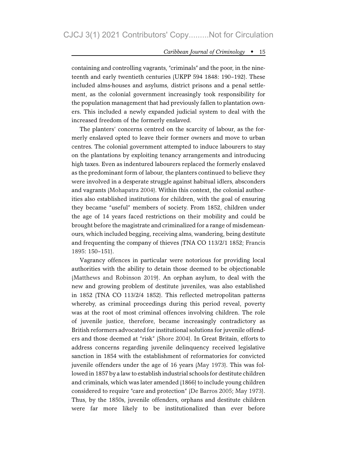containing and controlling vagrants, "criminals" and the poor, in the nineteenth and early twentieth centuries (UKPP 594 1848: 190–192). These included alms-houses and asylums, district prisons and a penal settlement, as the colonial government increasingly took responsibility for the population management that had previously fallen to plantation owners. This included a newly expanded judicial system to deal with the increased freedom of the formerly enslaved.

The planters' concerns centred on the scarcity of labour, as the formerly enslaved opted to leave their former owners and move to urban centres. The colonial government attempted to induce labourers to stay on the plantations by exploiting tenancy arrangements and introducing high taxes. Even as indentured labourers replaced the formerly enslaved as the predominant form of labour, the planters continued to believe they were involved in a desperate struggle against habitual idlers, absconders and vagrants (Mohapatra 2004). Within this context, the colonial authorities also established institutions for children, with the goal of ensuring they became "useful" members of society. From 1852, children under the age of 14 years faced restrictions on their mobility and could be brought before the magistrate and criminalized for a range of misdemeanours, which included begging, receiving alms, wandering, being destitute and frequenting the company of thieves (TNA CO 113/2/1 1852; Francis 1895: 150–151).

Vagrancy offences in particular were notorious for providing local authorities with the ability to detain those deemed to be objectionable (Matthews and Robinson 2019). An orphan asylum, to deal with the new and growing problem of destitute juveniles, was also established in 1852 (TNA CO 113/2/4 1852). This reflected metropolitan patterns whereby, as criminal proceedings during this period reveal, poverty was at the root of most criminal offences involving children. The role of juvenile justice, therefore, became increasingly contradictory as British reformers advocated for institutional solutions for juvenile offenders and those deemed at "risk" (Shore 2004). In Great Britain, efforts to address concerns regarding juvenile delinquency received legislative sanction in 1854 with the establishment of reformatories for convicted juvenile offenders under the age of 16 years (May 1973). This was followed in 1857 by a law to establish industrial schools for destitute children and criminals, which was later amended (1866) to include young children considered to require "care and protection" (De Barros 2005; May 1973). Thus, by the 1850s, juvenile offenders, orphans and destitute children were far more likely to be institutionalized than ever before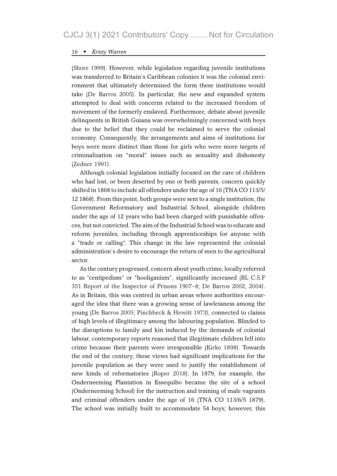(Shore 1999). However, while legislation regarding juvenile institutions was transferred to Britain's Caribbean colonies it was the colonial environment that ultimately determined the form these institutions would take (De Barros 2005). In particular, the new and expanded system attempted to deal with concerns related to the increased freedom of movement of the formerly enslaved. Furthermore, debate about juvenile delinquents in British Guiana was overwhelmingly concerned with boys due to the belief that they could be reclaimed to serve the colonial economy. Consequently, the arrangements and aims of institutions for boys were more distinct than those for girls who were more targets of criminalization on "moral" issues such as sexuality and dishonesty (Zedner 1991).

Although colonial legislation initially focused on the care of children who had lost, or been deserted by one or both parents, concern quickly shifted in 1868 to include all offenders under the age of 16 (TNA CO 113/5/ 12 1868). From this point, both groups were sent to a single institution, the Government Reformatory and Industrial School, alongside children under the age of 12 years who had been charged with punishable offences, but not convicted. The aim of the Industrial School was to educate and reform juveniles, including through apprenticeships for anyone with a "trade or calling". This change in the law represented the colonial administration's desire to encourage the return of men to the agricultural sector.

As the century progressed, concern about youth crime, locally referred to as "centipedism" or "hooliganism", significantly increased (BL C.S.F 351 Report of the Inspector of Prisons 1907–8; De Barros 2002, 2004). As in Britain, this was centred in urban areas where authorities encouraged the idea that there was a growing sense of lawlessness among the young (De Barros 2005; Pinchbeck & Hewitt 1973), connected to claims of high levels of illegitimacy among the labouring population. Blinded to the disruptions to family and kin induced by the demands of colonial labour, contemporary reports reasoned that illegitimate children fell into crime because their parents were irresponsible (Kirke 1898). Towards the end of the century, these views had significant implications for the juvenile population as they were used to justify the establishment of new kinds of reformatories (Roper 2018). In 1879, for example, the Onderneeming Plantation in Essequibo became the site of a school (Onderneeming School) for the instruction and training of male vagrants and criminal offenders under the age of 16 (TNA CO 113/6/5 1879). The school was initially built to accommodate 54 boys; however, this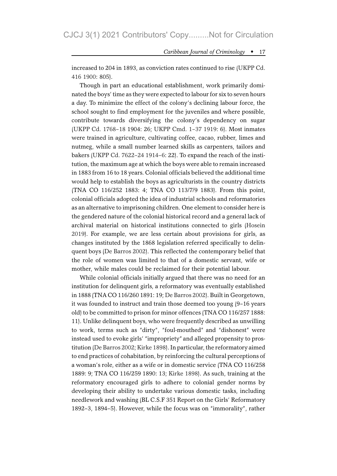increased to 204 in 1893, as conviction rates continued to rise (UKPP Cd. 416 1900: 805).

Though in part an educational establishment, work primarily dominated the boys' time as they were expected to labour for six to seven hours a day. To minimize the effect of the colony's declining labour force, the school sought to find employment for the juveniles and where possible, contribute towards diversifying the colony's dependency on sugar (UKPP Cd. 1768–18 1904: 26; UKPP Cmd. 1–37 1919: 6). Most inmates were trained in agriculture, cultivating coffee, cacao, rubber, limes and nutmeg, while a small number learned skills as carpenters, tailors and bakers (UKPP Cd. 7622–24 1914–6: 22). To expand the reach of the institution, the maximum age at which the boys were able to remain increased in 1883 from 16 to 18 years. Colonial officials believed the additional time would help to establish the boys as agriculturists in the country districts (TNA CO 116/252 1883: 4; TNA CO 113/7/9 1883). From this point, colonial officials adopted the idea of industrial schools and reformatories as an alternative to imprisoning children. One element to consider here is the gendered nature of the colonial historical record and a general lack of archival material on historical institutions connected to girls (Hosein 2019). For example, we are less certain about provisions for girls, as changes instituted by the 1868 legislation referred specifically to delinquent boys (De Barros 2002). This reflected the contemporary belief that the role of women was limited to that of a domestic servant, wife or mother, while males could be reclaimed for their potential labour.

While colonial officials initially argued that there was no need for an institution for delinquent girls, a reformatory was eventually established in 1888 (TNA CO 116/260 1891: 19; De Barros 2002). Built in Georgetown, it was founded to instruct and train those deemed too young (9–16 years old) to be committed to prison for minor offences (TNA CO 116/257 1888: 11). Unlike delinquent boys, who were frequently described as unwilling to work, terms such as "dirty", "foul-mouthed" and "dishonest" were instead used to evoke girls' "impropriety" and alleged propensity to prostitution (De Barros 2002; Kirke 1898). In particular, the reformatory aimed to end practices of cohabitation, by reinforcing the cultural perceptions of a woman's role, either as a wife or in domestic service (TNA CO 116/258 1889: 9; TNA CO 116/259 1890: 13; Kirke 1898). As such, training at the reformatory encouraged girls to adhere to colonial gender norms by developing their ability to undertake various domestic tasks, including needlework and washing (BL C.S.F 351 Report on the Girls' Reformatory 1892–3, 1894–5). However, while the focus was on "immorality", rather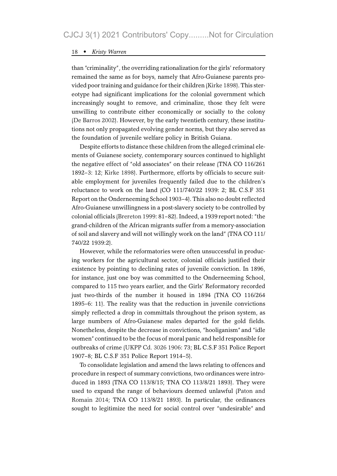than "criminality", the overriding rationalization for the girls' reformatory remained the same as for boys, namely that Afro-Guianese parents provided poor training and guidance for their children (Kirke 1898). This stereotype had significant implications for the colonial government which increasingly sought to remove, and criminalize, those they felt were unwilling to contribute either economically or socially to the colony (De Barros 2002). However, by the early twentieth century, these institutions not only propagated evolving gender norms, but they also served as the foundation of juvenile welfare policy in British Guiana.

Despite efforts to distance these children from the alleged criminal elements of Guianese society, contemporary sources continued to highlight the negative effect of "old associates" on their release (TNA CO 116/261 1892–3: 12; Kirke 1898). Furthermore, efforts by officials to secure suitable employment for juveniles frequently failed due to the children's reluctance to work on the land (CO 111/740/22 1939: 2; BL C.S.F 351 Report on the Onderneeming School 1903–4). This also no doubt reflected Afro-Guianese unwillingness in a post-slavery society to be controlled by colonial officials (Brereton 1999: 81–82). Indeed, a 1939 report noted: "the grand-children of the African migrants suffer from a memory-association of soil and slavery and will not willingly work on the land" (TNA CO 111/ 740/22 1939:2).

However, while the reformatories were often unsuccessful in producing workers for the agricultural sector, colonial officials justified their existence by pointing to declining rates of juvenile conviction. In 1896, for instance, just one boy was committed to the Onderneeming School, compared to 115 two years earlier, and the Girls' Reformatory recorded just two-thirds of the number it housed in 1894 (TNA CO 116/264) 1895–6: 11). The reality was that the reduction in juvenile convictions simply reflected a drop in committals throughout the prison system, as large numbers of Afro-Guianese males departed for the gold fields. Nonetheless, despite the decrease in convictions, "hooliganism" and "idle women" continued to be the focus of moral panic and held responsible for outbreaks of crime (UKPP Cd. 3026 1906: 73; BL C.S.F 351 Police Report 1907–8; BL C.S.F 351 Police Report 1914–5).

To consolidate legislation and amend the laws relating to offences and procedure in respect of summary convictions, two ordinances were introduced in 1893 (TNA CO 113/8/15; TNA CO 113/8/21 1893). They were used to expand the range of behaviours deemed unlawful (Paton and Romain 2014; TNA CO 113/8/21 1893). In particular, the ordinances sought to legitimize the need for social control over "undesirable" and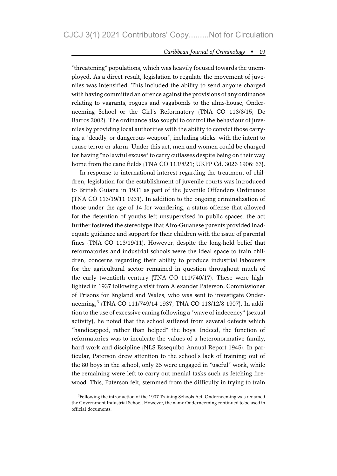"threatening" populations, which was heavily focused towards the unemployed. As a direct result, legislation to regulate the movement of juveniles was intensified. This included the ability to send anyone charged with having committed an offence against the provisions of any ordinance relating to vagrants, rogues and vagabonds to the alms-house, Onderneeming School or the Girl's Reformatory (TNA CO 113/8/15; De Barros 2002). The ordinance also sought to control the behaviour of juveniles by providing local authorities with the ability to convict those carrying a "deadly, or dangerous weapon", including sticks, with the intent to cause terror or alarm. Under this act, men and women could be charged for having "no lawful excuse" to carry cutlasses despite being on their way home from the cane fields (TNA CO 113/8/21; UKPP Cd. 3026 1906: 63).

In response to international interest regarding the treatment of children, legislation for the establishment of juvenile courts was introduced to British Guiana in 1931 as part of the Juvenile Offenders Ordinance (TNA CO 113/19/11 1931). In addition to the ongoing criminalization of those under the age of 14 for wandering, a status offense that allowed for the detention of youths left unsupervised in public spaces, the act further fostered the stereotype that Afro-Guianese parents provided inadequate guidance and support for their children with the issue of parental fines (TNA CO 113/19/11). However, despite the long-held belief that reformatories and industrial schools were the ideal space to train children, concerns regarding their ability to produce industrial labourers for the agricultural sector remained in question throughout much of the early twentieth century (TNA CO 111/740/17). These were highlighted in 1937 following a visit from Alexander Paterson, Commissioner of Prisons for England and Wales, who was sent to investigate Onderneeming,<sup>3</sup> (TNA CO 111/749/14 1937; TNA CO 113/12/8 1907). In addition to the use of excessive caning following a "wave of indecency" (sexual activity), he noted that the school suffered from several defects which "handicapped, rather than helped" the boys. Indeed, the function of reformatories was to inculcate the values of a heteronormative family, hard work and discipline (NLS Essequibo Annual Report 1945). In particular, Paterson drew attention to the school's lack of training; out of the 80 boys in the school, only 25 were engaged in "useful" work, while the remaining were left to carry out menial tasks such as fetching firewood. This, Paterson felt, stemmed from the difficulty in trying to train

<sup>&</sup>lt;sup>3</sup>Following the introduction of the 1907 Training Schools Act, Onderneeming was renamed the Government Industrial School. However, the name Onderneeming continued to be used in official documents.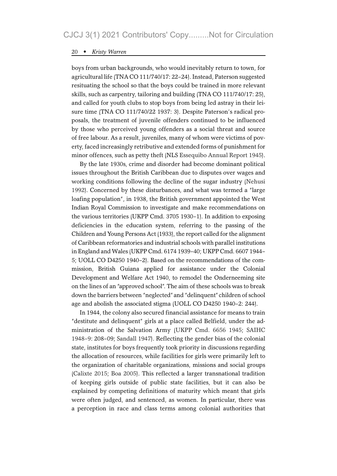boys from urban backgrounds, who would inevitably return to town, for agricultural life (TNA CO 111/740/17: 22–24). Instead, Paterson suggested resituating the school so that the boys could be trained in more relevant skills, such as carpentry, tailoring and building (TNA CO 111/740/17: 25), and called for youth clubs to stop boys from being led astray in their leisure time (TNA CO 111/740/22 1937: 3). Despite Paterson's radical proposals, the treatment of juvenile offenders continued to be influenced by those who perceived young offenders as a social threat and source of free labour. As a result, juveniles, many of whom were victims of poverty, faced increasingly retributive and extended forms of punishment for minor offences, such as petty theft (NLS Essequibo Annual Report 1945).

By the late 1930s, crime and disorder had become dominant political issues throughout the British Caribbean due to disputes over wages and working conditions following the decline of the sugar industry (Nehusi 1992). Concerned by these disturbances, and what was termed a "large loafing population", in 1938, the British government appointed the West Indian Royal Commission to investigate and make recommendations on the various territories (UKPP Cmd. 3705 1930–1). In addition to exposing deficiencies in the education system, referring to the passing of the Children and Young Persons Act (1933), the report called for the alignment of Caribbean reformatories and industrial schools with parallel institutions in England and Wales (UKPP Cmd. 6174 1939–40; UKPP Cmd. 6607 1944– 5; UOLL CO D4250 1940–2). Based on the recommendations of the commission, British Guiana applied for assistance under the Colonial Development and Welfare Act 1940, to remodel the Onderneeming site on the lines of an "approved school". The aim of these schools was to break down the barriers between "neglected"and "delinquent" children of school age and abolish the associated stigma (UOLL CO D4250 1940–2: 244).

In 1944, the colony also secured financial assistance for means to train "destitute and delinquent" girls at a place called Belfield, under the administration of the Salvation Army (UKPP Cmd. 6656 1945; SAIHC 1948–9: 208–09; Sandall 1947). Reflecting the gender bias of the colonial state, institutes for boys frequently took priority in discussions regarding the allocation of resources, while facilities for girls were primarily left to the organization of charitable organizations, missions and social groups (Calixte 2015; Boa 2005). This reflected a larger transnational tradition of keeping girls outside of public state facilities, but it can also be explained by competing definitions of maturity which meant that girls were often judged, and sentenced, as women. In particular, there was a perception in race and class terms among colonial authorities that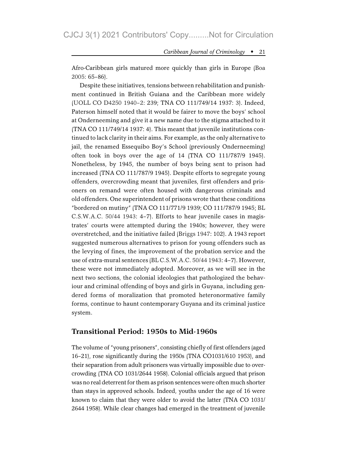Afro-Caribbean girls matured more quickly than girls in Europe (Boa 2005: 65–86).

Despite these initiatives, tensions between rehabilitation and punishment continued in British Guiana and the Caribbean more widely (UOLL CO D4250 1940–2: 239; TNA CO 111/749/14 1937: 3). Indeed, Paterson himself noted that it would be fairer to move the boys' school at Onderneeming and give it a new name due to the stigma attached to it (TNA CO 111/749/14 1937: 4). This meant that juvenile institutions continued to lack clarity in their aims. For example, as the only alternative to jail, the renamed Essequibo Boy's School (previously Onderneeming) often took in boys over the age of 14 (TNA CO 111/787/9 1945). Nonetheless, by 1945, the number of boys being sent to prison had increased (TNA CO 111/787/9 1945). Despite efforts to segregate young offenders, overcrowding meant that juveniles, first offenders and prisoners on remand were often housed with dangerous criminals and old offenders. One superintendent of prisons wrote that these conditions "bordered on mutiny" (TNA CO 111/771/9 1939; CO 111/787/9 1945; BL C.S.W.A.C. 50/44 1943: 4–7). Efforts to hear juvenile cases in magistrates' courts were attempted during the 1940s; however, they were overstretched, and the initiative failed (Briggs 1947: 102). A 1943 report suggested numerous alternatives to prison for young offenders such as the levying of fines, the improvement of the probation service and the use of extra-mural sentences (BL C.S.W.A.C. 50/44 1943: 4–7). However, these were not immediately adopted. Moreover, as we will see in the next two sections, the colonial ideologies that pathologized the behaviour and criminal offending of boys and girls in Guyana, including gendered forms of moralization that promoted heteronormative family forms, continue to haunt contemporary Guyana and its criminal justice system.

#### Transitional Period: 1950s to Mid-1960s

The volume of "young prisoners", consisting chiefly of first offenders (aged 16–21), rose significantly during the 1950s (TNA CO1031/610 1953), and their separation from adult prisoners was virtually impossible due to overcrowding (TNA CO 1031/2644 1958). Colonial officials argued that prison was no real deterrent for them as prison sentences were often much shorter than stays in approved schools. Indeed, youths under the age of 16 were known to claim that they were older to avoid the latter (TNA CO 1031/ 2644 1958). While clear changes had emerged in the treatment of juvenile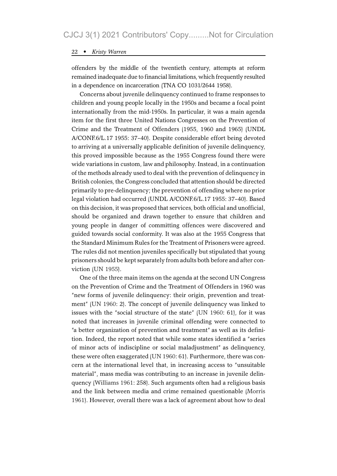offenders by the middle of the twentieth century, attempts at reform remained inadequate due to financial limitations, which frequently resulted in a dependence on incarceration (TNA CO 1031/2644 1958).

Concerns about juvenile delinquency continued to frame responses to children and young people locally in the 1950s and became a focal point internationally from the mid-1950s. In particular, it was a main agenda item for the first three United Nations Congresses on the Prevention of Crime and the Treatment of Offenders (1955, 1960 and 1965) (UNDL A/CONF.6/L.17 1955: 37–40). Despite considerable effort being devoted to arriving at a universally applicable definition of juvenile delinquency, this proved impossible because as the 1955 Congress found there were wide variations in custom, law and philosophy. Instead, in a continuation of the methods already used to deal with the prevention of delinquency in British colonies, the Congress concluded that attention should be directed primarily to pre-delinquency; the prevention of offending where no prior legal violation had occurred (UNDL A/CONF.6/L.17 1955: 37–40). Based on this decision, it was proposed that services, both official and unofficial, should be organized and drawn together to ensure that children and young people in danger of committing offences were discovered and guided towards social conformity. It was also at the 1955 Congress that the Standard Minimum Rules for the Treatment of Prisoners were agreed. The rules did not mention juveniles specifically but stipulated that young prisoners should be kept separately from adults both before and after conviction (UN 1955).

One of the three main items on the agenda at the second UN Congress on the Prevention of Crime and the Treatment of Offenders in 1960 was "new forms of juvenile delinquency: their origin, prevention and treatment" (UN 1960: 2). The concept of juvenile delinquency was linked to issues with the "social structure of the state" (UN 1960: 61), for it was noted that increases in juvenile criminal offending were connected to "a better organization of prevention and treatment" as well as its definition. Indeed, the report noted that while some states identified a "series of minor acts of indiscipline or social maladjustment" as delinquency, these were often exaggerated (UN 1960: 61). Furthermore, there was concern at the international level that, in increasing access to "unsuitable material", mass media was contributing to an increase in juvenile delinquency (Williams 1961: 258). Such arguments often had a religious basis and the link between media and crime remained questionable (Morris 1961). However, overall there was a lack of agreement about how to deal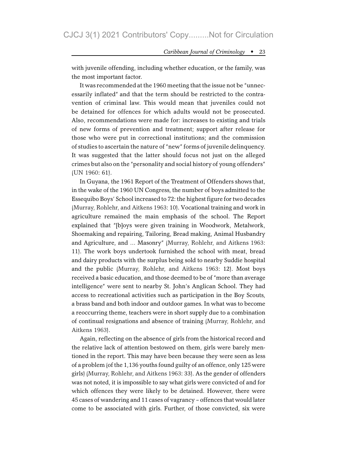with juvenile offending, including whether education, or the family, was the most important factor.

It was recommended at the 1960 meeting that the issue not be "unnecessarily inflated" and that the term should be restricted to the contravention of criminal law. This would mean that juveniles could not be detained for offences for which adults would not be prosecuted. Also, recommendations were made for: increases to existing and trials of new forms of prevention and treatment; support after release for those who were put in correctional institutions; and the commission of studies to ascertain the nature of "new" forms of juvenile delinquency. It was suggested that the latter should focus not just on the alleged crimes but also on the "personality and social history of young offenders" (UN 1960: 61).

In Guyana, the 1961 Report of the Treatment of Offenders shows that, in the wake of the 1960 UN Congress, the number of boys admitted to the Essequibo Boys' School increased to 72: the highest figure for two decades (Murray, Rohlehr, and Aitkens 1963: 10). Vocational training and work in agriculture remained the main emphasis of the school. The Report explained that "[b]oys were given training in Woodwork, Metalwork, Shoemaking and repairing, Tailoring, Bread making, Animal Husbandry and Agriculture, and … Masonry" (Murray, Rohlehr, and Aitkens 1963: 11). The work boys undertook furnished the school with meat, bread and dairy products with the surplus being sold to nearby Suddie hospital and the public (Murray, Rohlehr, and Aitkens 1963: 12). Most boys received a basic education, and those deemed to be of "more than average intelligence" were sent to nearby St. John's Anglican School. They had access to recreational activities such as participation in the Boy Scouts, a brass band and both indoor and outdoor games. In what was to become a reoccurring theme, teachers were in short supply due to a combination of continual resignations and absence of training (Murray, Rohlehr, and Aitkens 1963).

Again, reflecting on the absence of girls from the historical record and the relative lack of attention bestowed on them, girls were barely mentioned in the report. This may have been because they were seen as less of a problem (of the 1,136 youths found guilty of an offence, only 125 were girls) (Murray, Rohlehr, and Aitkens 1963: 33). As the gender of offenders was not noted, it is impossible to say what girls were convicted of and for which offences they were likely to be detained. However, there were 45 cases of wandering and 11 cases of vagrancy – offences that would later come to be associated with girls. Further, of those convicted, six were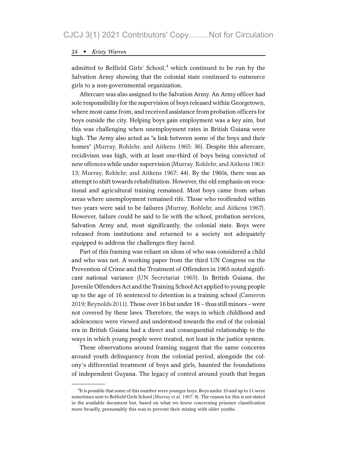admitted to Belfield Girls' School.<sup>4</sup> which continued to be run by the Salvation Army showing that the colonial state continued to outsource girls to a non-governmental organization.

Aftercare was also assigned to the Salvation Army. An Army officer had sole responsibility for the supervision of boys released within Georgetown, where most came from, and received assistance from probation officers for boys outside the city. Helping boys gain employment was a key aim, but this was challenging when unemployment rates in British Guiana were high. The Army also acted as "a link between some of the boys and their homes" (Murray, Rohlehr, and Aitkens 1965: 36). Despite this aftercare, recidivism was high, with at least one-third of boys being convicted of new offences while under supervision (Murray, Rohlehr, and Aitkens 1963: 13; Murray, Rohlehr, and Aitkens 1967: 44). By the 1960s, there was an attempt to shift towards rehabilitation. However, the old emphasis on vocational and agricultural training remained. Most boys came from urban areas where unemployment remained rife. Those who reoffended within two years were said to be failures (Murray, Rohlehr, and Aitkens 1967). However, failure could be said to lie with the school, probation services, Salvation Army and, most significantly, the colonial state. Boys were released from institutions and returned to a society not adequately equipped to address the challenges they faced.

Part of this framing was reliant on ideas of who was considered a child and who was not. A working paper from the third UN Congress on the Prevention of Crime and the Treatment of Offenders in 1965 noted significant national variance (UN Secretariat 1965). In British Guiana, the Juvenile Offenders Act and the Training School Act applied to young people up to the age of 16 sentenced to detention in a training school (Cameron 2019; Reynolds 2011). Those over 16 but under 18 – thus still minors – were not covered by these laws. Therefore, the ways in which childhood and adolescence were viewed and understood towards the end of the colonial era in British Guiana had a direct and consequential relationship to the ways in which young people were treated, not least in the justice system.

These observations around framing suggest that the same concerns around youth delinquency from the colonial period, alongside the colony's differential treatment of boys and girls, haunted the foundations of independent Guyana. The legacy of control around youth that began

 ${}^{4}$ It is possible that some of this number were younger boys. Boys under 10 and up to 11 were sometimes sent to Belfield Girls School (Murray et al. 1967: 8). The reason for this is not stated in the available document but, based on what we know concerning prisoner classification more broadly, presumably this was to prevent their mixing with older youths.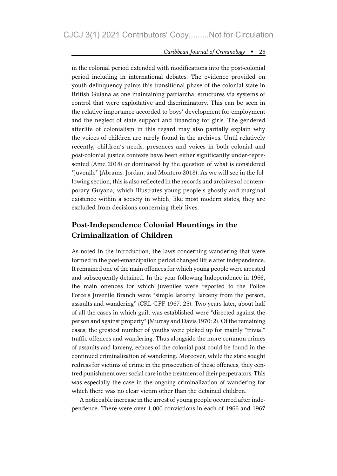in the colonial period extended with modifications into the post-colonial period including in international debates. The evidence provided on youth delinquency paints this transitional phase of the colonial state in British Guiana as one maintaining patriarchal structures via systems of control that were exploitative and discriminatory. This can be seen in the relative importance accorded to boys' development for employment and the neglect of state support and financing for girls. The gendered afterlife of colonialism in this regard may also partially explain why the voices of children are rarely found in the archives. Until relatively recently, children's needs, presences and voices in both colonial and post-colonial justice contexts have been either significantly under-represented (Ame 2018) or dominated by the question of what is considered "juvenile" (Abrams, Jordan, and Montero 2018). As we will see in the following section, this is also reflected in the records and archives of contemporary Guyana, which illustrates young people's ghostly and marginal existence within a society in which, like most modern states, they are excluded from decisions concerning their lives.

### Post-Independence Colonial Hauntings in the Criminalization of Children

As noted in the introduction, the laws concerning wandering that were formed in the post-emancipation period changed little after independence. It remained one of the main offences for which young people were arrested and subsequently detained. In the year following Independence in 1966, the main offences for which juveniles were reported to the Police Force's Juvenile Branch were "simple larceny, larceny from the person, assaults and wandering" (CRL GPF 1967: 25). Two years later, about half of all the cases in which guilt was established were "directed against the person and against property" (Murray and Davis 1970: 2). Of the remaining cases, the greatest number of youths were picked up for mainly "trivial" traffic offences and wandering. Thus alongside the more common crimes of assaults and larceny, echoes of the colonial past could be found in the continued criminalization of wandering. Moreover, while the state sought redress for victims of crime in the prosecution of these offences, they centred punishment over social care in the treatment of their perpetrators. This was especially the case in the ongoing criminalization of wandering for which there was no clear victim other than the detained children.

A noticeable increase in the arrest of young people occurred after independence. There were over 1,000 convictions in each of 1966 and 1967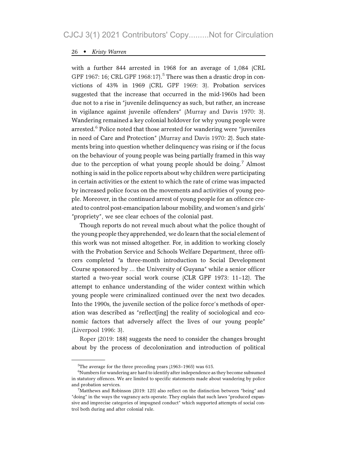with a further 844 arrested in 1968 for an average of 1,084 (CRL GPF 1967: 16; CRL GPF 1968:17).<sup>5</sup> There was then a drastic drop in convictions of 43% in 1969 (CRL GPF 1969: 3). Probation services suggested that the increase that occurred in the mid-1960s had been due not to a rise in "juvenile delinquency as such, but rather, an increase in vigilance against juvenile offenders" (Murray and Davis 1970: 3). Wandering remained a key colonial holdover for why young people were arrested. $6$  Police noted that those arrested for wandering were "juveniles in need of Care and Protection" (Murray and Davis 1970: 2). Such statements bring into question whether delinquency was rising or if the focus on the behaviour of young people was being partially framed in this way due to the perception of what young people should be doing.<sup>7</sup> Almost nothing is said in the police reports about why children were participating in certain activities or the extent to which the rate of crime was impacted by increased police focus on the movements and activities of young people. Moreover, in the continued arrest of young people for an offence created to control post-emancipation labour mobility, and women's and girls' "propriety", we see clear echoes of the colonial past.

Though reports do not reveal much about what the police thought of the young people they apprehended, we do learn that the social element of this work was not missed altogether. For, in addition to working closely with the Probation Service and Schools Welfare Department, three officers completed "a three-month introduction to Social Development Course sponsored by … the University of Guyana" while a senior officer started a two-year social work course (CLR GPF 1973: 11–12). The attempt to enhance understanding of the wider context within which young people were criminalized continued over the next two decades. Into the 1990s, the juvenile section of the police force's methods of operation was described as "reflect[ing] the reality of sociological and economic factors that adversely affect the lives of our young people" (Liverpool 1996: 3).

Roper (2019: 188) suggests the need to consider the changes brought about by the process of decolonization and introduction of political

<sup>5</sup> The average for the three preceding years (1963–1965) was 615.

<sup>&</sup>lt;sup>6</sup>Numbers for wandering are hard to identify after independence as they become subsumed in statutory offences. We are limited to specific statements made about wandering by police and probation services.

 $7$ Matthews and Robinson (2019: 125) also reflect on the distinction between "being" and "doing" in the ways the vagrancy acts operate. They explain that such laws "produced expansive and imprecise categories of impugned conduct" which supported attempts of social control both during and after colonial rule.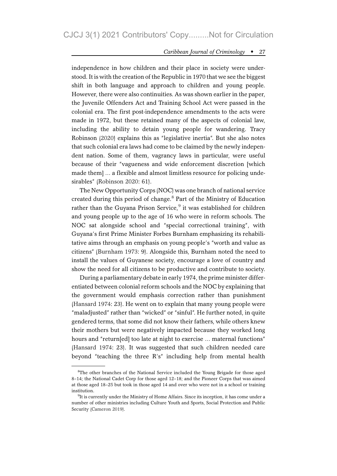independence in how children and their place in society were understood. It is with the creation of the Republic in 1970 that we see the biggest shift in both language and approach to children and young people. However, there were also continuities. As was shown earlier in the paper, the Juvenile Offenders Act and Training School Act were passed in the colonial era. The first post-independence amendments to the acts were made in 1972, but these retained many of the aspects of colonial law, including the ability to detain young people for wandering. Tracy Robinson (2020) explains this as "legislative inertia". But she also notes that such colonial era laws had come to be claimed by the newly independent nation. Some of them, vagrancy laws in particular, were useful because of their "vagueness and wide enforcement discretion [which made them] … a flexible and almost limitless resource for policing undesirables" (Robinson 2020: 61).

The New Opportunity Corps (NOC) was one branch of national service created during this period of change. $8$  Part of the Ministry of Education rather than the Guyana Prison Service, $9$  it was established for children and young people up to the age of 16 who were in reform schools. The NOC sat alongside school and "special correctional training", with Guyana's first Prime Minister Forbes Burnham emphasizing its rehabilitative aims through an emphasis on young people's "worth and value as citizens" (Burnham 1973: 9). Alongside this, Burnham noted the need to install the values of Guyanese society, encourage a love of country and show the need for all citizens to be productive and contribute to society.

During a parliamentary debate in early 1974, the prime minister differentiated between colonial reform schools and the NOC by explaining that the government would emphasis correction rather than punishment (Hansard 1974: 23). He went on to explain that many young people were "maladjusted" rather than "wicked" or "sinful". He further noted, in quite gendered terms, that some did not know their fathers, while others knew their mothers but were negatively impacted because they worked long hours and "return[ed] too late at night to exercise ... maternal functions" (Hansard 1974: 23). It was suggested that such children needed care beyond "teaching the three R's" including help from mental health

<sup>&</sup>lt;sup>8</sup>The other branches of the National Service included the Young Brigade for those aged 8–14; the National Cadet Corp for those aged 12–18; and the Pioneer Corps that was aimed at those aged 18–25 but took in those aged 14 and over who were not in a school or training institution.

<sup>&</sup>lt;sup>9</sup>It is currently under the Ministry of Home Affairs. Since its inception, it has come under a number of other ministries including Culture Youth and Sports, Social Protection and Public Security (Cameron 2019).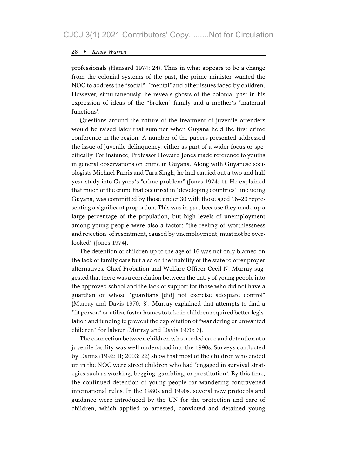professionals (Hansard 1974: 24). Thus in what appears to be a change from the colonial systems of the past, the prime minister wanted the NOC to address the "social", "mental" and other issues faced by children. However, simultaneously, he reveals ghosts of the colonial past in his expression of ideas of the "broken" family and a mother's "maternal functions".

Questions around the nature of the treatment of juvenile offenders would be raised later that summer when Guyana held the first crime conference in the region. A number of the papers presented addressed the issue of juvenile delinquency, either as part of a wider focus or specifically. For instance, Professor Howard Jones made reference to youths in general observations on crime in Guyana. Along with Guyanese sociologists Michael Parris and Tara Singh, he had carried out a two and half year study into Guyana's "crime problem" (Jones 1974: 1). He explained that much of the crime that occurred in "developing countries", including Guyana, was committed by those under 30 with those aged 16–20 representing a significant proportion. This was in part because they made up a large percentage of the population, but high levels of unemployment among young people were also a factor: "the feeling of worthlessness and rejection, of resentment, caused by unemployment, must not be overlooked" (Jones 1974).

The detention of children up to the age of 16 was not only blamed on the lack of family care but also on the inability of the state to offer proper alternatives. Chief Probation and Welfare Officer Cecil N. Murray suggested that there was a correlation between the entry of young people into the approved school and the lack of support for those who did not have a guardian or whose "guardians [did] not exercise adequate control" (Murray and Davis 1970: 3). Murray explained that attempts to find a "fit person" or utilize foster homes to take in children required better legislation and funding to prevent the exploitation of "wandering or unwanted children" for labour (Murray and Davis 1970: 3).

The connection between children who needed care and detention at a juvenile facility was well understood into the 1990s. Surveys conducted by Danns (1992: II; 2003: 22) show that most of the children who ended up in the NOC were street children who had "engaged in survival strategies such as working, begging, gambling, or prostitution". By this time, the continued detention of young people for wandering contravened international rules. In the 1980s and 1990s, several new protocols and guidance were introduced by the UN for the protection and care of children, which applied to arrested, convicted and detained young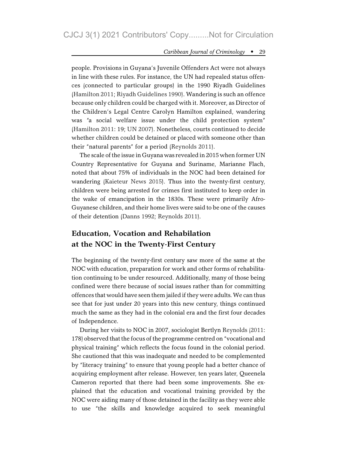people. Provisions in Guyana's Juvenile Offenders Act were not always in line with these rules. For instance, the UN had repealed status offences (connected to particular groups) in the 1990 Riyadh Guidelines (Hamilton 2011; Riyadh Guidelines 1990). Wandering is such an offence because only children could be charged with it. Moreover, as Director of the Children's Legal Centre Carolyn Hamilton explained, wandering was "a social welfare issue under the child protection system" (Hamilton 2011: 19; UN 2007). Nonetheless, courts continued to decide whether children could be detained or placed with someone other than their "natural parents" for a period (Reynolds 2011).

The scale of the issue in Guyana was revealed in 2015 when former UN Country Representative for Guyana and Suriname, Marianne Flach, noted that about 75% of individuals in the NOC had been detained for wandering (Kaieteur News 2015). Thus into the twenty-first century, children were being arrested for crimes first instituted to keep order in the wake of emancipation in the 1830s. These were primarily Afro-Guyanese children, and their home lives were said to be one of the causes of their detention (Danns 1992; Reynolds 2011).

# Education, Vocation and Rehabilation at the NOC in the Twenty-First Century

The beginning of the twenty-first century saw more of the same at the NOC with education, preparation for work and other forms of rehabilitation continuing to be under resourced. Additionally, many of those being confined were there because of social issues rather than for committing offences that would have seen them jailed if they were adults. We can thus see that for just under 20 years into this new century, things continued much the same as they had in the colonial era and the first four decades of Independence.

During her visits to NOC in 2007, sociologist Bertlyn Reynolds (2011: 178) observed that the focus of the programme centred on "vocational and physical training" which reflects the focus found in the colonial period. She cautioned that this was inadequate and needed to be complemented by "literacy training" to ensure that young people had a better chance of acquiring employment after release. However, ten years later, Queenela Cameron reported that there had been some improvements. She explained that the education and vocational training provided by the NOC were aiding many of those detained in the facility as they were able to use "the skills and knowledge acquired to seek meaningful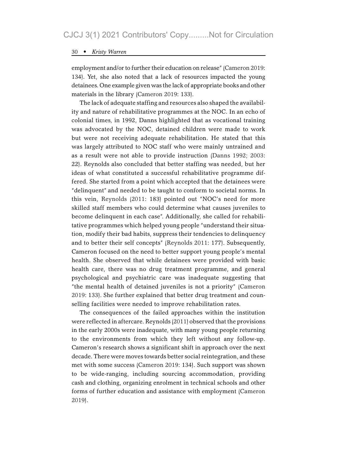employment and/or to further their education on release" (Cameron 2019: 134). Yet, she also noted that a lack of resources impacted the young detainees. One example given was the lack of appropriate books and other materials in the library (Cameron 2019: 133).

The lack of adequate staffing and resources also shaped the availability and nature of rehabilitative programmes at the NOC. In an echo of colonial times, in 1992, Danns highlighted that as vocational training was advocated by the NOC, detained children were made to work but were not receiving adequate rehabilitation. He stated that this was largely attributed to NOC staff who were mainly untrained and as a result were not able to provide instruction (Danns 1992; 2003: 22). Reynolds also concluded that better staffing was needed, but her ideas of what constituted a successful rehabilitative programme differed. She started from a point which accepted that the detainees were "delinquent" and needed to be taught to conform to societal norms. In this vein, Reynolds (2011: 183) pointed out "NOC's need for more skilled staff members who could determine what causes juveniles to become delinquent in each case". Additionally, she called for rehabilitative programmes which helped young people "understand their situation, modify their bad habits, suppress their tendencies to delinquency and to better their self concepts" (Reynolds 2011: 177). Subsequently, Cameron focused on the need to better support young people's mental health. She observed that while detainees were provided with basic health care, there was no drug treatment programme, and general psychological and psychiatric care was inadequate suggesting that "the mental health of detained juveniles is not a priority" (Cameron 2019: 133). She further explained that better drug treatment and counselling facilities were needed to improve rehabilitation rates.

The consequences of the failed approaches within the institution were reflected in aftercare. Reynolds (2011) observed that the provisions in the early 2000s were inadequate, with many young people returning to the environments from which they left without any follow-up. Cameron's research shows a significant shift in approach over the next decade. There were moves towards better social reintegration, and these met with some success (Cameron 2019: 134). Such support was shown to be wide-ranging, including sourcing accommodation, providing cash and clothing, organizing enrolment in technical schools and other forms of further education and assistance with employment (Cameron 2019).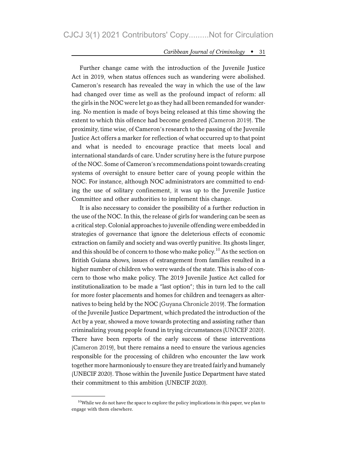Further change came with the introduction of the Juvenile Justice Act in 2019, when status offences such as wandering were abolished. Cameron's research has revealed the way in which the use of the law had changed over time as well as the profound impact of reform: all the girls in the NOC were let go as they had all been remanded for wandering. No mention is made of boys being released at this time showing the extent to which this offence had become gendered (Cameron 2019). The proximity, time wise, of Cameron's research to the passing of the Juvenile Justice Act offers a marker for reflection of what occurred up to that point and what is needed to encourage practice that meets local and international standards of care. Under scrutiny here is the future purpose of the NOC. Some of Cameron's recommendations point towards creating systems of oversight to ensure better care of young people within the NOC. For instance, although NOC administrators are committed to ending the use of solitary confinement, it was up to the Juvenile Justice Committee and other authorities to implement this change.

It is also necessary to consider the possibility of a further reduction in the use of the NOC. In this, the release of girls for wandering can be seen as a critical step. Colonial approaches to juvenile offending were embedded in strategies of governance that ignore the deleterious effects of economic extraction on family and society and was overtly punitive. Its ghosts linger, and this should be of concern to those who make policy.<sup>10</sup> As the section on British Guiana shows, issues of estrangement from families resulted in a higher number of children who were wards of the state. This is also of concern to those who make policy. The 2019 Juvenile Justice Act called for institutionalization to be made a "last option"; this in turn led to the call for more foster placements and homes for children and teenagers as alternatives to being held by the NOC (Guyana Chronicle 2019). The formation of the Juvenile Justice Department, which predated the introduction of the Act by a year, showed a move towards protecting and assisting rather than criminalizing young people found in trying circumstances (UNICEF 2020). There have been reports of the early success of these interventions (Cameron 2019), but there remains a need to ensure the various agencies responsible for the processing of children who encounter the law work together more harmoniously to ensure they are treated fairly and humanely (UNECIF 2020). Those within the Juvenile Justice Department have stated their commitment to this ambition (UNECIF 2020).

<sup>&</sup>lt;sup>10</sup>While we do not have the space to explore the policy implications in this paper, we plan to engage with them elsewhere.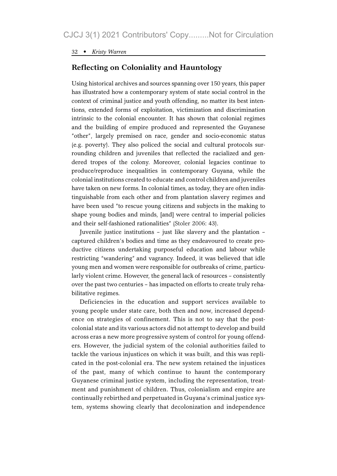### Reflecting on Coloniality and Hauntology

Using historical archives and sources spanning over 150 years, this paper has illustrated how a contemporary system of state social control in the context of criminal justice and youth offending, no matter its best intentions, extended forms of exploitation, victimization and discrimination intrinsic to the colonial encounter. It has shown that colonial regimes and the building of empire produced and represented the Guyanese "other", largely premised on race, gender and socio-economic status (e.g. poverty). They also policed the social and cultural protocols surrounding children and juveniles that reflected the racialized and gendered tropes of the colony. Moreover, colonial legacies continue to produce/reproduce inequalities in contemporary Guyana, while the colonial institutions created to educate and control children and juveniles have taken on new forms. In colonial times, as today, they are often indistinguishable from each other and from plantation slavery regimes and have been used "to rescue young citizens and subjects in the making to shape young bodies and minds, [and] were central to imperial policies and their self-fashioned rationalities" (Stoler 2006: 43).

Juvenile justice institutions – just like slavery and the plantation – captured children's bodies and time as they endeavoured to create productive citizens undertaking purposeful education and labour while restricting "wandering" and vagrancy. Indeed, it was believed that idle young men and women were responsible for outbreaks of crime, particularly violent crime. However, the general lack of resources – consistently over the past two centuries – has impacted on efforts to create truly rehabilitative regimes.

Deficiencies in the education and support services available to young people under state care, both then and now, increased dependence on strategies of confinement. This is not to say that the postcolonial state and its various actors did not attempt to develop and build across eras a new more progressive system of control for young offenders. However, the judicial system of the colonial authorities failed to tackle the various injustices on which it was built, and this was replicated in the post-colonial era. The new system retained the injustices of the past, many of which continue to haunt the contemporary Guyanese criminal justice system, including the representation, treatment and punishment of children. Thus, colonialism and empire are continually rebirthed and perpetuated in Guyana's criminal justice system, systems showing clearly that decolonization and independence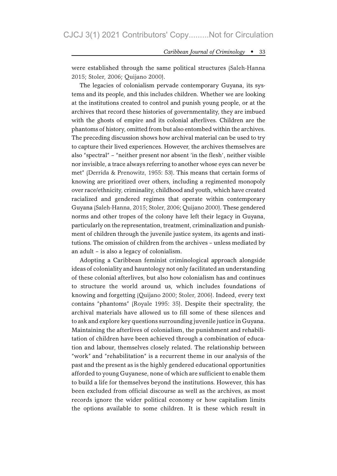were established through the same political structures (Saleh-Hanna 2015; Stoler, 2006; Quijano 2000).

The legacies of colonialism pervade contemporary Guyana, its systems and its people, and this includes children. Whether we are looking at the institutions created to control and punish young people, or at the archives that record these histories of governmentality, they are imbued with the ghosts of empire and its colonial afterlives. Children are the phantoms of history, omitted from but also entombed within the archives. The preceding discussion shows how archival material can be used to try to capture their lived experiences. However, the archives themselves are also "spectral"–"neither present nor absent 'in the flesh', neither visible nor invisible, a trace always referring to another whose eyes can never be met" (Derrida & Prenowitz, 1955: 53). This means that certain forms of knowing are prioritized over others, including a regimented monopoly over race/ethnicity, criminality, childhood and youth, which have created racialized and gendered regimes that operate within contemporary Guyana (Saleh-Hanna, 2015; Stoler, 2006; Quijano 2000). These gendered norms and other tropes of the colony have left their legacy in Guyana, particularly on the representation, treatment, criminalization and punishment of children through the juvenile justice system, its agents and institutions. The omission of children from the archives – unless mediated by an adult – is also a legacy of colonialism.

Adopting a Caribbean feminist criminological approach alongside ideas of coloniality and hauntology not only facilitated an understanding of these colonial afterlives, but also how colonialism has and continues to structure the world around us, which includes foundations of knowing and forgetting (Quijano 2000; Stoler, 2006). Indeed, every text contains "phantoms" (Royale 1995: 35). Despite their spectrality, the archival materials have allowed us to fill some of these silences and to ask and explore key questions surrounding juvenile justice in Guyana. Maintaining the afterlives of colonialism, the punishment and rehabilitation of children have been achieved through a combination of education and labour, themselves closely related. The relationship between "work" and "rehabilitation" is a recurrent theme in our analysis of the past and the present as is the highly gendered educational opportunities afforded to young Guyanese, none of which are sufficient to enable them to build a life for themselves beyond the institutions. However, this has been excluded from official discourse as well as the archives, as most records ignore the wider political economy or how capitalism limits the options available to some children. It is these which result in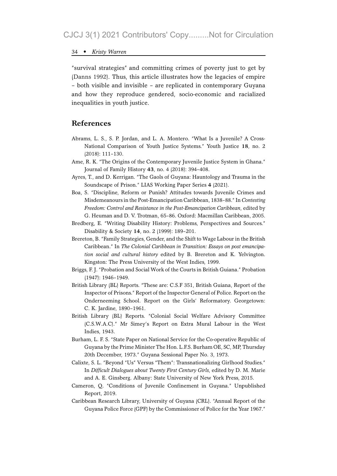"survival strategies" and committing crimes of poverty just to get by (Danns 1992). Thus, this article illustrates how the legacies of empire – both visible and invisible – are replicated in contemporary Guyana and how they reproduce gendered, socio-economic and racialized inequalities in youth justice.

#### References

- Abrams, L. S., S. P. Jordan, and L. A. Montero. "What Is a Juvenile? A Cross-National Comparison of Youth Justice Systems." Youth Justice 18, no. 2 (2018): 111–130.
- Ame, R. K. "The Origins of the Contemporary Juvenile Justice System in Ghana." Journal of Family History 43, no. 4 (2018): 394–408.
- Ayres, T., and D. Kerrigan. "The Gaols of Guyana: Hauntology and Trauma in the Soundscape of Prison." LIAS Working Paper Series 4 (2021).
- Boa, S. "Discipline, Reform or Punish? Attitudes towards Juvenile Crimes and Misdemeanours in the Post-Emancipation Caribbean, 1838–88." In Contesting Freedom: Control and Resistance in the Post-Emancipation Caribbean, edited by G. Heuman and D. V. Trotman, 65–86. Oxford: Macmillan Caribbean, 2005.
- Bredberg, E. "Writing Disability History: Problems, Perspectives and Sources." Disability & Society 14, no. 2 (1999): 189–201.
- Brereton, B. "Family Strategies, Gender, and the Shift to Wage Labour in the British Caribbean." In The Colonial Caribbean in Transition: Essays on post emancipation social and cultural history edited by B. Brereton and K. Yelvington. Kingston: The Press University of the West Indies, 1999.
- Briggs, F. J. "Probation and Social Work of the Courts in British Guiana." Probation (1947): 1946–1949.
- British Library (BL) Reports. "These are: C.S.F 351, British Guiana, Report of the Inspector of Prisons." Report of the Inspector General of Police. Report on the Onderneeming School. Report on the Girls' Reformatory. Georgetown: C. K. Jardine, 1890–1961.
- British Library (BL) Reports. "Colonial Social Welfare Advisory Committee (C.S.W.A.C)." Mr Simey's Report on Extra Mural Labour in the West Indies, 1943.
- Burham, L. F. S. "State Paper on National Service for the Co-operative Republic of Guyana by the Prime Minister The Hon. L.F.S. Burham OE, SC, MP, Thursday 20th December, 1973." Guyana Sessional Paper No. 3, 1973.
- Calixte, S. L. "Beyond "Us" Versus "Them": Transnationalizing Girlhood Studies." In Difficult Dialogues about Twenty First Century Girls, edited by D. M. Marie and A. E. Ginsberg. Albany: State University of New York Press, 2015.
- Cameron, Q. "Conditions of Juvenile Confinement in Guyana." Unpublished Report, 2019.
- Caribbean Research Library, University of Guyana (CRL). "Annual Report of the Guyana Police Force (GPF) by the Commissioner of Police for the Year 1967."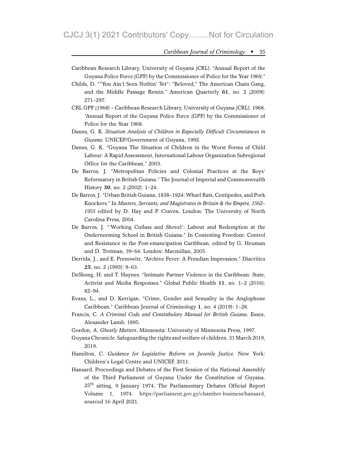- Caribbean Research Library, University of Guyana (CRL). "Annual Report of the Guyana Police Force (GPF) by the Commissioner of Police for the Year 1969."
- Childs, D. ""You Ain't Seen Nothin' Yet": "Beloved," The American Chain Gang, and the Middle Passage Remix." American Quarterly 61, no. 2 (2009): 271–297.
- CRL GPF (1968) Caribbean Research Library, University of Guyana (CRL). 1968. "Annual Report of the Guyana Police Force (GPF) by the Commissioner of Police for the Year 1968.
- Danns, G. K. Situation Analysis of Children in Especially Difficult Circumstances in Guyana. UNICEF/Government of Guyana, 1992.
- Danns, G. K. "Guyana The Situation of Children in the Worst Forms of Child Labour: A Rapid Assessment, International Labour Organization Subregional Office for the Caribbean," 2003.
- De Barros, J. "Metropolitan Policies and Colonial Practices at the Boys' Reformatory in British Guiana." The Journal of Imperial and Commonwealth History 30, no. 2 (2002): 1–24.
- De Barros, J. "Urban British Guiana, 1838–1924: Wharf Rats, Centipedes, and Pork Knockers." In Masters, Servants, and Magistrates in Britain & the Empire, 1562– 1955 edited by D. Hay and P. Craven. London: The University of North Carolina Press, 2004.
- De Barros, J. "'Working Cutlass and Shovel': Labour and Redemption at the Onderneeming School in British Guiana." In Contesting Freedom: Control and Resistance in the Post-emancipation Caribbean, edited by G. Heuman and D. Trotman, 39–64. London: Macmillan, 2005.
- Derrida, J., and E. Prenowitz. "Archive Fever: A Freudian Impression." Diacritics 25, no. 2 (1995): 9–63.
- DeShong, H. and T. Haynes. "Intimate Partner Violence in the Caribbean: State, Activist and Media Responses." Global Public Health 11, no. 1–2 (2016): 82–94.
- Evans, L., and D. Kerrigan. "Crime, Gender and Sexuality in the Anglophone Caribbean." Caribbean Journal of Criminology 1, no. 4 (2019): 1–28.
- Francis, C. A Criminal Code and Constabulary Manual for British Guiana. Essex, Alexander Lamb, 1895.
- Gordon, A. Ghostly Matters. Minnesota: University of Minnesota Press, 1997.
- Guyana Chronicle. Safeguarding the rights and welfare of children. 31 March 2019, 2019.
- Hamilton, C. Guidance for Legislative Reform on Juvenile Justice. New York: Children's Legal Centre and UNICEF, 2011.
- Hansard. Proceedings and Debates of the First Session of the National Assembly of the Third Parliament of Guyana Under the Constitution of Guyana. 25<sup>th</sup> sitting, 9 January 1974, The Parliamentary Debates Official Report Volume 1, 1974. https://parliament.gov.gy/chamber-business/hansard, sourced 16 April 2021.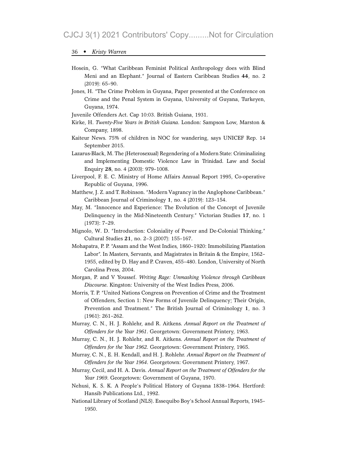- Hosein, G. "What Caribbean Feminist Political Anthropology does with Blind Meni and an Elephant." Journal of Eastern Caribbean Studies 44, no. 2 (2019): 65–90.
- Jones, H. "The Crime Problem in Guyana, Paper presented at the Conference on Crime and the Penal System in Guyana, University of Guyana, Turkeyen, Guyana, 1974.
- Juvenile Offenders Act. Cap 10:03. British Guiana, 1931.
- Kirke, H. Twenty-Five Years in British Guiana. London: Sampson Low, Marston & Company, 1898.
- Kaiteur News. 75% of children in NOC for wandering, says UNICEF Rep. 14 September 2015.
- Lazarus-Black, M. The (Heterosexual) Regendering of a Modern State: Criminalizing and Implementing Domestic Violence Law in Trinidad. Law and Social Enquiry 28, no. 4 (2003): 979–1008.
- Liverpool, F. E. C. Ministry of Home Affairs Annual Report 1995, Co-operative Republic of Guyana, 1996.
- Matthew, J. Z. and T. Robinson. "Modern Vagrancy in the Anglophone Caribbean." Caribbean Journal of Criminology 1, no. 4 (2019): 123–154.
- May, M. "Innocence and Experience: The Evolution of the Concept of Juvenile Delinquency in the Mid-Nineteenth Century." Victorian Studies 17, no. 1 (1973): 7–29.
- Mignolo, W. D. "Introduction: Coloniality of Power and De-Colonial Thinking." Cultural Studies 21, no. 2–3 (2007): 155–167.
- Mohapatra, P. P. "Assam and the West Indies, 1860–1920: Immobilizing Plantation Labor". In Masters, Servants, and Magistrates in Britain & the Empire, 1562– 1955, edited by D. Hay and P. Craven, 455–480. London, University of North Carolina Press, 2004.
- Morgan, P. and V Youssef. Writing Rage: Unmasking Violence through Caribbean Discourse. Kingston: University of the West Indies Press, 2006.
- Morris, T. P. "United Nations Congress on Prevention of Crime and the Treatment of Offenders, Section 1: New Forms of Juvenile Delinquency; Their Origin, Prevention and Treatment." The British Journal of Criminology 1, no. 3 (1961): 261–262.
- Murray, C. N., H. J. Rohlehr, and R. Aitkens. Annual Report on the Treatment of Offenders for the Year 1961. Georgetown: Government Printery, 1963.
- Murray, C. N., H. J. Rohlehr, and R. Aitkens. Annual Report on the Treatment of Offenders for the Year 1962. Georgetown: Government Printery, 1965.
- Murray, C. N., E. H. Kendall, and H. J. Rohlehr. Annual Report on the Treatment of Offenders for the Year 1964. Georgetown: Government Printery, 1967.
- Murray, Cecil, and H. A. Davis. Annual Report on the Treatment of Offenders for the Year 1969. Georgetown: Government of Guyana, 1970.
- Nehusi, K. S. K. A People's Political History of Guyana 1838–1964. Hertford: Hansib Publications Ltd., 1992.
- National Library of Scotland (NLS). Essequibo Boy's School Annual Reports, 1945– 1950.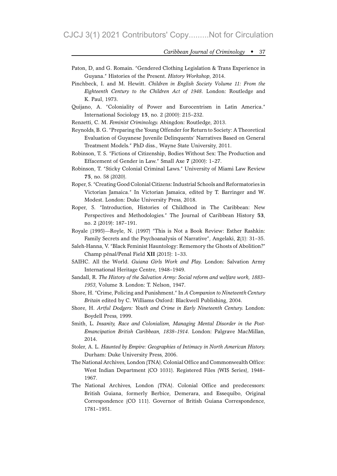- Paton, D, and G. Romain. "Gendered Clothing Legislation & Trans Experience in Guyana." Histories of the Present. History Workshop, 2014.
- Pinchbeck, I. and M. Hewitt. Children in English Society Volume 11: From the Eighteenth Century to the Children Act of 1948. London: Routledge and K. Paul, 1973.
- Quijano, A. "Coloniality of Power and Eurocentrism in Latin America." International Sociology 15, no. 2 (2000): 215–232.

Renzetti, C. M. Feminist Criminology. Abingdon: Routledge, 2013.

- Reynolds, B. G. "Preparing the Young Offender for Return to Society: A Theoretical Evaluation of Guyanese Juvenile Delinquents' Narratives Based on General Treatment Models." PhD diss., Wayne State University, 2011.
- Robinson, T. S. "Fictions of Citizenship, Bodies Without Sex: The Production and Effacement of Gender in Law." Small Axe 7 (2000): 1–27.
- Robinson, T. "Sticky Colonial Criminal Laws." University of Miami Law Review 75, no. 58 (2020).
- Roper, S. "Creating Good Colonial Citizens: Industrial Schools and Reformatories in Victorian Jamaica." In Victorian Jamaica, edited by T. Barringer and W. Modest. London: Duke University Press, 2018.
- Roper, S. "Introduction, Histories of Childhood in The Caribbean: New Perspectives and Methodologies." The Journal of Caribbean History 53, no. 2 (2019): 187–191.
- Royale (1995)—Royle, N. (1997) "This is Not a Book Review: Esther Rashkin: Family Secrets and the Psychoanalysis of Narrative", Angelaki, 2(1): 31–35.
- Saleh-Hanna, V. "Black Feminist Hauntology: Rememory the Ghosts of Abolition?" Champ pénal/Penal Field XII (2015): 1–33.
- SAIHC. All the World. Guiana Girls Work and Play. London: Salvation Army International Heritage Centre, 1948–1949.
- Sandall, R. The History of the Salvation Army: Social reform and welfare work, 1883– 1953, Volume 3. London: T. Nelson, 1947.
- Shore, H. "Crime, Policing and Punishment." In A Companion to Nineteenth Century Britain edited by C. Williams Oxford: Blackwell Publishing, 2004.
- Shore, H. Artful Dodgers: Youth and Crime in Early Nineteenth Century. London: Boydell Press, 1999.
- Smith, L. Insanity, Race and Colonialism, Managing Mental Disorder in the Post-Emancipation British Caribbean, 1838–1914. London: Palgrave MacMillan, 2014.
- Stoler, A. L. Haunted by Empire: Geographies of Intimacy in North American History. Durham: Duke University Press, 2006.
- The National Archives, London (TNA). Colonial Office and Commonwealth Office: West Indian Department (CO 1031). Registered Files (WIS Series), 1948– 1967.
- The National Archives, London (TNA). Colonial Office and predecessors: British Guiana, formerly Berbice, Demerara, and Essequibo, Original Correspondence (CO 111). Governor of British Guiana Correspondence, 1781–1951.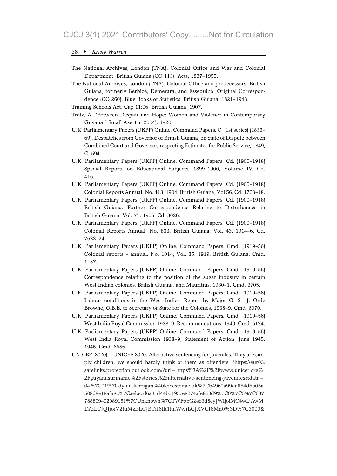- The National Archives, London (TNA). Colonial Office and War and Colonial Department: British Guiana (CO 113). Acts, 1837–1955.
- The National Archives, London (TNA). Colonial Office and predecessors: British Guiana, formerly Berbice, Demerara, and Essequibo, Original Correspondence (CO 260). Blue Books of Statistics: British Guiana, 1821–1943.
- Training Schools Act, Cap 11:06. British Guiana, 1907.
- Trotz, A. "Between Despair and Hope: Women and Violence in Contemporary Guyana." Small Axe 15 (2004): 1–20.
- U.K. Parliamentary Papers (UKPP) Online. Command Papers. C. (1st series) (1833– 69). Despatches from Governor of British Guiana, on State of Dispute between Combined Court and Governor, respecting Estimates for Public Service, 1849, C. 594.
- U.K. Parliamentary Papers (UKPP) Online. Command Papers. Cd. (1900–1918) Special Reports on Educational Subjects, 1899–1900, Volume IV. Cd. 416.
- U.K. Parliamentary Papers (UKPP) Online. Command Papers. Cd. (1900–1918) Colonial Reports Annual. No. 413. 1904. British Guiana, Vol 56. Cd. 1768–18.
- U.K. Parliamentary Papers (UKPP) Online. Command Papers. Cd. (1900–1918) British Guiana. Further Correspondence Relating to Disturbances in British Guiana, Vol. 77. 1906. Cd. 3026.
- U.K. Parliamentary Papers (UKPP) Online. Command Papers. Cd. (1900–1918) Colonial Reports Annual. No. 833. British Guiana, Vol. 43. 1914–6. Cd. 7622–24.
- U.K. Parliamentary Papers (UKPP) Online. Command Papers. Cmd. (1919–56) Colonial reports – annual. No. 1014, Vol. 35. 1919. British Guiana. Cmd. 1–37.
- U.K. Parliamentary Papers (UKPP) Online. Command Papers. Cmd. (1919–56) Correspondence relating to the position of the sugar industry in certain West Indian colonies, British Guiana, and Mauritius, 1930–1. Cmd. 3705.
- U.K. Parliamentary Papers (UKPP) Online. Command Papers. Cmd. (1919–56) Labour conditions in the West Indies. Report by Major G. St. J. Orde Browne, O.B.E. to Secretary of State for the Colonies, 1938–9. Cmd. 6070.
- U.K. Parliamentary Papers (UKPP) Online. Command Papers. Cmd. (1919–56) West India Royal Commission 1938–9. Recommendations. 1940. Cmd. 6174.
- U.K. Parliamentary Papers (UKPP) Online. Command Papers. Cmd. (1919–56) West India Royal Commission 1938–9, Statement of Action, June 1945. 1945. Cmd. 6656.
- UNICEF (2020), UNICEF 2020. Alternative sentencing for juveniles: They are simply children, we should hardly think of them as offenders. "https://eur03. safelinks.protection.outlook.com/?url=https%3A%2F%2Fwww.unicef.org% 2Fguyanasuriname%2Fstories%2Falternative-sentencing-juveniles&data= 04%7C01%7Cdylan.kerrigan%40leicester.ac.uk%7Cb4960a99da854d6b05a 508d9e18afa8c%7Caebecd6a31d44b0195ce8274afe853d9%7C0%7C0%7C637 788809492989151%7CUnknown%7CTWFpbGZsb3d8eyJWIjoiMC4wLjAwM DAiLCJQIjoiV2luMzIiLCJBTiI6Ik1haWwiLCJXVCI6Mn0%3D%7C3000&